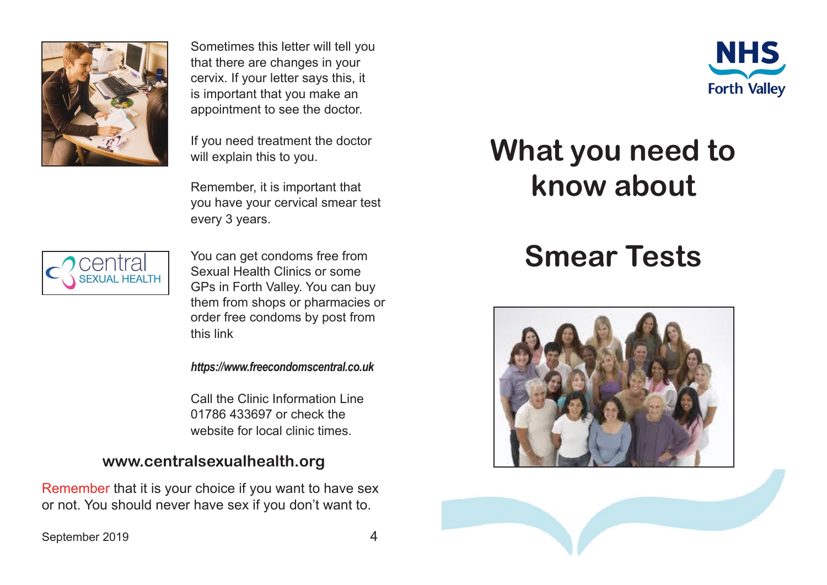

Sometimes this letter will tell you that there are changes in your cervix. If your letter says this, it is important that you make an appointment to see the doctor.

If you need treatment the doctor will explain this to you.

Remember, it is important that you have your cervical smear test every 3 years.



You can get condoms free from Sexual Health Clinics or some GPs in Forth Valley. You can buy them from shops or pharmacies or order free condoms by post from this link

#### *https://www.freecondomscentral.co.uk*

Call the Clinic Information Line 01786 433697 or check the website for local clinic times.

### **www.centralsexualhealth.org**

Remember that it is your choice if you want to have sex or not. You should never have sex if you don't want to.

#### September 2019



## **What you need to know about**

# **Smear Tests**